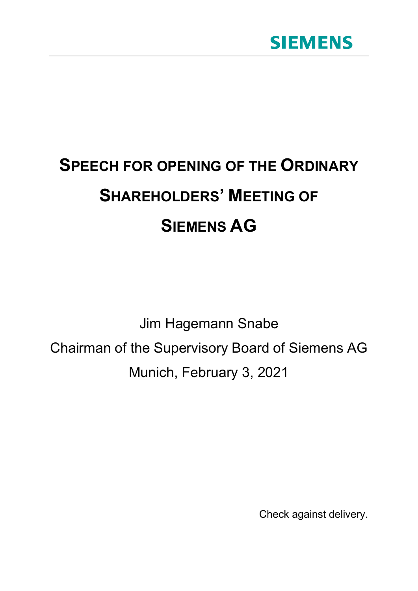

## **SPEECH FOR OPENING OF THE ORDINARY SHAREHOLDERS' MEETING OF SIEMENS AG**

Jim Hagemann Snabe Chairman of the Supervisory Board of Siemens AG Munich, February 3, 2021

Check against delivery.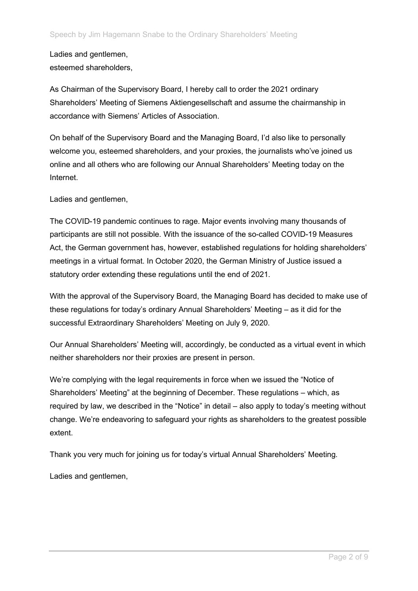Ladies and gentlemen, esteemed shareholders,

As Chairman of the Supervisory Board, I hereby call to order the 2021 ordinary Shareholders' Meeting of Siemens Aktiengesellschaft and assume the chairmanship in accordance with Siemens' Articles of Association.

On behalf of the Supervisory Board and the Managing Board, I'd also like to personally welcome you, esteemed shareholders, and your proxies, the journalists who've joined us online and all others who are following our Annual Shareholders' Meeting today on the Internet.

Ladies and gentlemen,

The COVID-19 pandemic continues to rage. Major events involving many thousands of participants are still not possible. With the issuance of the so-called COVID-19 Measures Act, the German government has, however, established regulations for holding shareholders' meetings in a virtual format. In October 2020, the German Ministry of Justice issued a statutory order extending these regulations until the end of 2021.

With the approval of the Supervisory Board, the Managing Board has decided to make use of these regulations for today's ordinary Annual Shareholders' Meeting – as it did for the successful Extraordinary Shareholders' Meeting on July 9, 2020.

Our Annual Shareholders' Meeting will, accordingly, be conducted as a virtual event in which neither shareholders nor their proxies are present in person.

We're complying with the legal requirements in force when we issued the "Notice of Shareholders' Meeting" at the beginning of December. These regulations – which, as required by law, we described in the "Notice" in detail – also apply to today's meeting without change. We're endeavoring to safeguard your rights as shareholders to the greatest possible extent.

Thank you very much for joining us for today's virtual Annual Shareholders' Meeting.

Ladies and gentlemen,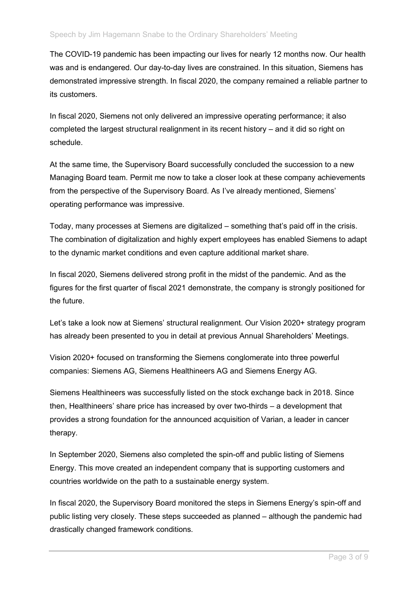The COVID-19 pandemic has been impacting our lives for nearly 12 months now. Our health was and is endangered. Our day-to-day lives are constrained. In this situation, Siemens has demonstrated impressive strength. In fiscal 2020, the company remained a reliable partner to its customers.

In fiscal 2020, Siemens not only delivered an impressive operating performance; it also completed the largest structural realignment in its recent history – and it did so right on schedule.

At the same time, the Supervisory Board successfully concluded the succession to a new Managing Board team. Permit me now to take a closer look at these company achievements from the perspective of the Supervisory Board. As I've already mentioned, Siemens' operating performance was impressive.

Today, many processes at Siemens are digitalized – something that's paid off in the crisis. The combination of digitalization and highly expert employees has enabled Siemens to adapt to the dynamic market conditions and even capture additional market share.

In fiscal 2020, Siemens delivered strong profit in the midst of the pandemic. And as the figures for the first quarter of fiscal 2021 demonstrate, the company is strongly positioned for the future.

Let's take a look now at Siemens' structural realignment. Our Vision 2020+ strategy program has already been presented to you in detail at previous Annual Shareholders' Meetings.

Vision 2020+ focused on transforming the Siemens conglomerate into three powerful companies: Siemens AG, Siemens Healthineers AG and Siemens Energy AG.

Siemens Healthineers was successfully listed on the stock exchange back in 2018. Since then, Healthineers' share price has increased by over two-thirds – a development that provides a strong foundation for the announced acquisition of Varian, a leader in cancer therapy.

In September 2020, Siemens also completed the spin-off and public listing of Siemens Energy. This move created an independent company that is supporting customers and countries worldwide on the path to a sustainable energy system.

In fiscal 2020, the Supervisory Board monitored the steps in Siemens Energy's spin-off and public listing very closely. These steps succeeded as planned – although the pandemic had drastically changed framework conditions.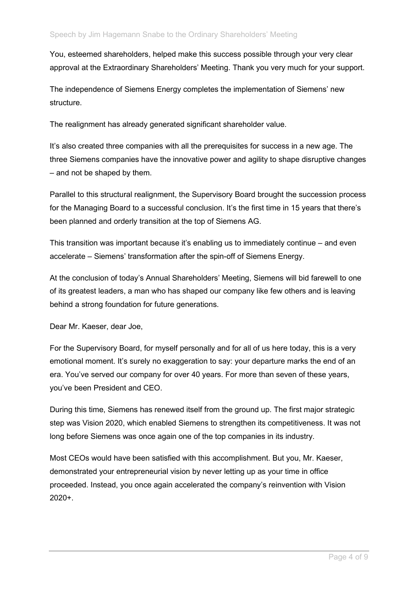You, esteemed shareholders, helped make this success possible through your very clear approval at the Extraordinary Shareholders' Meeting. Thank you very much for your support.

The independence of Siemens Energy completes the implementation of Siemens' new structure.

The realignment has already generated significant shareholder value.

It's also created three companies with all the prerequisites for success in a new age. The three Siemens companies have the innovative power and agility to shape disruptive changes – and not be shaped by them.

Parallel to this structural realignment, the Supervisory Board brought the succession process for the Managing Board to a successful conclusion. It's the first time in 15 years that there's been planned and orderly transition at the top of Siemens AG.

This transition was important because it's enabling us to immediately continue – and even accelerate – Siemens' transformation after the spin-off of Siemens Energy.

At the conclusion of today's Annual Shareholders' Meeting, Siemens will bid farewell to one of its greatest leaders, a man who has shaped our company like few others and is leaving behind a strong foundation for future generations.

Dear Mr. Kaeser, dear Joe,

For the Supervisory Board, for myself personally and for all of us here today, this is a very emotional moment. It's surely no exaggeration to say: your departure marks the end of an era. You've served our company for over 40 years. For more than seven of these years, you've been President and CEO.

During this time, Siemens has renewed itself from the ground up. The first major strategic step was Vision 2020, which enabled Siemens to strengthen its competitiveness. It was not long before Siemens was once again one of the top companies in its industry.

Most CEOs would have been satisfied with this accomplishment. But you, Mr. Kaeser, demonstrated your entrepreneurial vision by never letting up as your time in office proceeded. Instead, you once again accelerated the company's reinvention with Vision 2020+.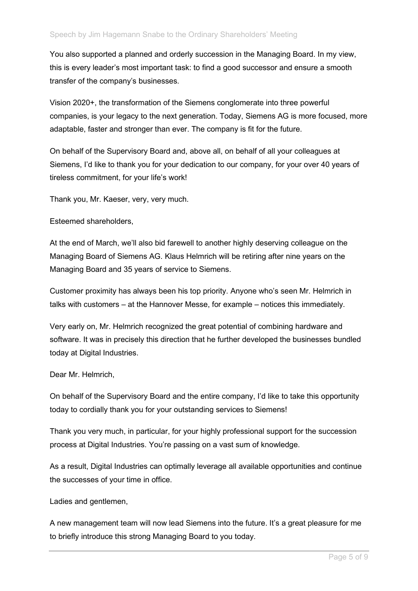You also supported a planned and orderly succession in the Managing Board. In my view, this is every leader's most important task: to find a good successor and ensure a smooth transfer of the company's businesses.

Vision 2020+, the transformation of the Siemens conglomerate into three powerful companies, is your legacy to the next generation. Today, Siemens AG is more focused, more adaptable, faster and stronger than ever. The company is fit for the future.

On behalf of the Supervisory Board and, above all, on behalf of all your colleagues at Siemens, I'd like to thank you for your dedication to our company, for your over 40 years of tireless commitment, for your life's work!

Thank you, Mr. Kaeser, very, very much.

Esteemed shareholders,

At the end of March, we'll also bid farewell to another highly deserving colleague on the Managing Board of Siemens AG. Klaus Helmrich will be retiring after nine years on the Managing Board and 35 years of service to Siemens.

Customer proximity has always been his top priority. Anyone who's seen Mr. Helmrich in talks with customers – at the Hannover Messe, for example – notices this immediately.

Very early on, Mr. Helmrich recognized the great potential of combining hardware and software. It was in precisely this direction that he further developed the businesses bundled today at Digital Industries.

Dear Mr. Helmrich,

On behalf of the Supervisory Board and the entire company, I'd like to take this opportunity today to cordially thank you for your outstanding services to Siemens!

Thank you very much, in particular, for your highly professional support for the succession process at Digital Industries. You're passing on a vast sum of knowledge.

As a result, Digital Industries can optimally leverage all available opportunities and continue the successes of your time in office.

Ladies and gentlemen,

A new management team will now lead Siemens into the future. It's a great pleasure for me to briefly introduce this strong Managing Board to you today.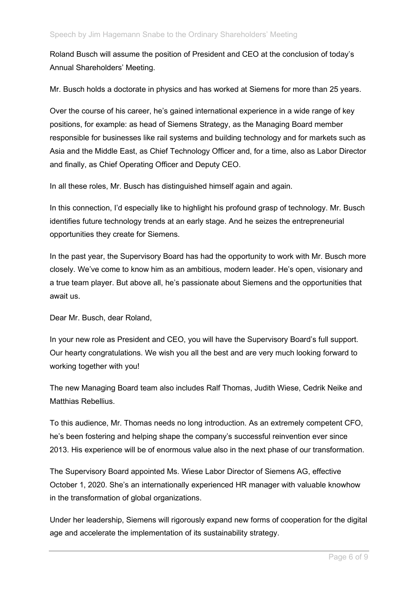Roland Busch will assume the position of President and CEO at the conclusion of today's Annual Shareholders' Meeting.

Mr. Busch holds a doctorate in physics and has worked at Siemens for more than 25 years.

Over the course of his career, he's gained international experience in a wide range of key positions, for example: as head of Siemens Strategy, as the Managing Board member responsible for businesses like rail systems and building technology and for markets such as Asia and the Middle East, as Chief Technology Officer and, for a time, also as Labor Director and finally, as Chief Operating Officer and Deputy CEO.

In all these roles, Mr. Busch has distinguished himself again and again.

In this connection, I'd especially like to highlight his profound grasp of technology. Mr. Busch identifies future technology trends at an early stage. And he seizes the entrepreneurial opportunities they create for Siemens.

In the past year, the Supervisory Board has had the opportunity to work with Mr. Busch more closely. We've come to know him as an ambitious, modern leader. He's open, visionary and a true team player. But above all, he's passionate about Siemens and the opportunities that await us.

Dear Mr. Busch, dear Roland,

In your new role as President and CEO, you will have the Supervisory Board's full support. Our hearty congratulations. We wish you all the best and are very much looking forward to working together with you!

The new Managing Board team also includes Ralf Thomas, Judith Wiese, Cedrik Neike and Matthias Rebellius.

To this audience, Mr. Thomas needs no long introduction. As an extremely competent CFO, he's been fostering and helping shape the company's successful reinvention ever since 2013. His experience will be of enormous value also in the next phase of our transformation.

The Supervisory Board appointed Ms. Wiese Labor Director of Siemens AG, effective October 1, 2020. She's an internationally experienced HR manager with valuable knowhow in the transformation of global organizations.

Under her leadership, Siemens will rigorously expand new forms of cooperation for the digital age and accelerate the implementation of its sustainability strategy.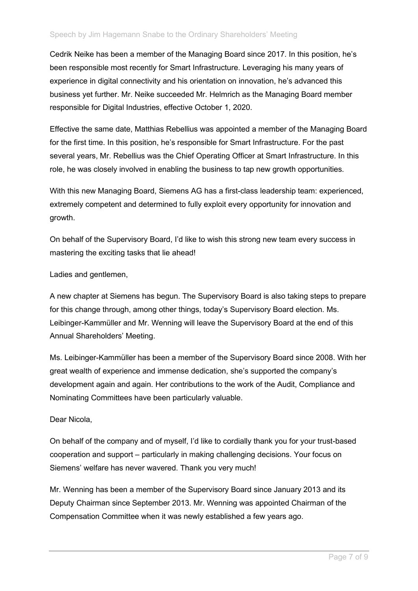Cedrik Neike has been a member of the Managing Board since 2017. In this position, he's been responsible most recently for Smart Infrastructure. Leveraging his many years of experience in digital connectivity and his orientation on innovation, he's advanced this business yet further. Mr. Neike succeeded Mr. Helmrich as the Managing Board member responsible for Digital Industries, effective October 1, 2020.

Effective the same date, Matthias Rebellius was appointed a member of the Managing Board for the first time. In this position, he's responsible for Smart Infrastructure. For the past several years, Mr. Rebellius was the Chief Operating Officer at Smart Infrastructure. In this role, he was closely involved in enabling the business to tap new growth opportunities.

With this new Managing Board, Siemens AG has a first-class leadership team: experienced, extremely competent and determined to fully exploit every opportunity for innovation and growth.

On behalf of the Supervisory Board, I'd like to wish this strong new team every success in mastering the exciting tasks that lie ahead!

Ladies and gentlemen,

A new chapter at Siemens has begun. The Supervisory Board is also taking steps to prepare for this change through, among other things, today's Supervisory Board election. Ms. Leibinger-Kammüller and Mr. Wenning will leave the Supervisory Board at the end of this Annual Shareholders' Meeting.

Ms. Leibinger-Kammüller has been a member of the Supervisory Board since 2008. With her great wealth of experience and immense dedication, she's supported the company's development again and again. Her contributions to the work of the Audit, Compliance and Nominating Committees have been particularly valuable.

## Dear Nicola,

On behalf of the company and of myself, I'd like to cordially thank you for your trust-based cooperation and support – particularly in making challenging decisions. Your focus on Siemens' welfare has never wavered. Thank you very much!

Mr. Wenning has been a member of the Supervisory Board since January 2013 and its Deputy Chairman since September 2013. Mr. Wenning was appointed Chairman of the Compensation Committee when it was newly established a few years ago.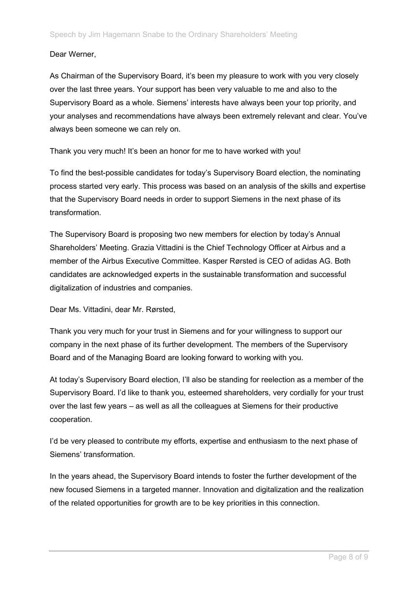## Dear Werner,

As Chairman of the Supervisory Board, it's been my pleasure to work with you very closely over the last three years. Your support has been very valuable to me and also to the Supervisory Board as a whole. Siemens' interests have always been your top priority, and your analyses and recommendations have always been extremely relevant and clear. You've always been someone we can rely on.

Thank you very much! It's been an honor for me to have worked with you!

To find the best-possible candidates for today's Supervisory Board election, the nominating process started very early. This process was based on an analysis of the skills and expertise that the Supervisory Board needs in order to support Siemens in the next phase of its transformation.

The Supervisory Board is proposing two new members for election by today's Annual Shareholders' Meeting. Grazia Vittadini is the Chief Technology Officer at Airbus and a member of the Airbus Executive Committee. Kasper Rørsted is CEO of adidas AG. Both candidates are acknowledged experts in the sustainable transformation and successful digitalization of industries and companies.

Dear Ms. Vittadini, dear Mr. Rørsted,

Thank you very much for your trust in Siemens and for your willingness to support our company in the next phase of its further development. The members of the Supervisory Board and of the Managing Board are looking forward to working with you.

At today's Supervisory Board election, I'll also be standing for reelection as a member of the Supervisory Board. I'd like to thank you, esteemed shareholders, very cordially for your trust over the last few years – as well as all the colleagues at Siemens for their productive cooperation.

I'd be very pleased to contribute my efforts, expertise and enthusiasm to the next phase of Siemens' transformation.

In the years ahead, the Supervisory Board intends to foster the further development of the new focused Siemens in a targeted manner. Innovation and digitalization and the realization of the related opportunities for growth are to be key priorities in this connection.